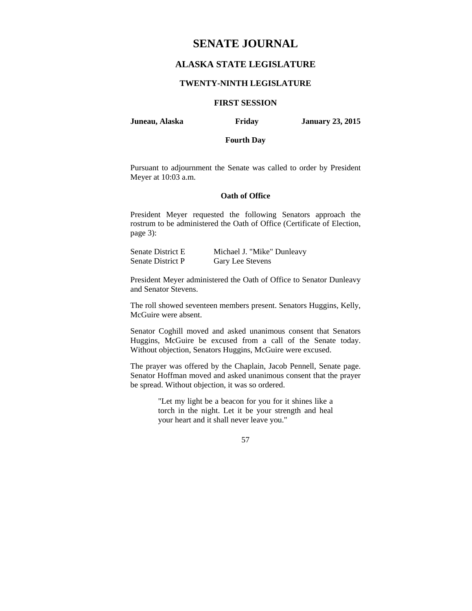# **SENATE JOURNAL**

# **ALASKA STATE LEGISLATURE**

#### **TWENTY-NINTH LEGISLATURE**

## **FIRST SESSION**

**Juneau, Alaska Friday January 23, 2015** 

## **Fourth Day**

Pursuant to adjournment the Senate was called to order by President Meyer at 10:03 a.m.

## **Oath of Office**

President Meyer requested the following Senators approach the rostrum to be administered the Oath of Office (Certificate of Election, page 3):

| Senate District E | Michael J. "Mike" Dunleavy |
|-------------------|----------------------------|
| Senate District P | Gary Lee Stevens           |

President Meyer administered the Oath of Office to Senator Dunleavy and Senator Stevens.

The roll showed seventeen members present. Senators Huggins, Kelly, McGuire were absent.

Senator Coghill moved and asked unanimous consent that Senators Huggins, McGuire be excused from a call of the Senate today. Without objection, Senators Huggins, McGuire were excused.

The prayer was offered by the Chaplain, Jacob Pennell, Senate page. Senator Hoffman moved and asked unanimous consent that the prayer be spread. Without objection, it was so ordered.

> "Let my light be a beacon for you for it shines like a torch in the night. Let it be your strength and heal your heart and it shall never leave you."

> > 57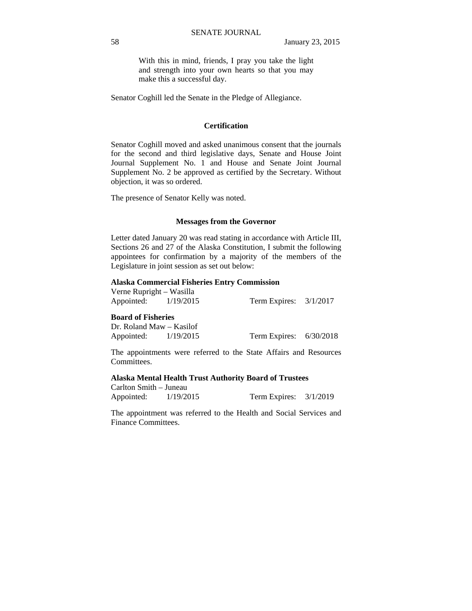With this in mind, friends, I pray you take the light and strength into your own hearts so that you may make this a successful day.

Senator Coghill led the Senate in the Pledge of Allegiance.

## **Certification**

Senator Coghill moved and asked unanimous consent that the journals for the second and third legislative days, Senate and House Joint Journal Supplement No. 1 and House and Senate Joint Journal Supplement No. 2 be approved as certified by the Secretary. Without objection, it was so ordered.

The presence of Senator Kelly was noted.

#### **Messages from the Governor**

Letter dated January 20 was read stating in accordance with Article III, Sections 26 and 27 of the Alaska Constitution, I submit the following appointees for confirmation by a majority of the members of the Legislature in joint session as set out below:

#### **Alaska Commercial Fisheries Entry Commission**

Verne Rupright – Wasilla Appointed: 1/19/2015 Term Expires: 3/1/2017

#### **Board of Fisheries**

Dr. Roland Maw – Kasilof Appointed: 1/19/2015 Term Expires: 6/30/2018

The appointments were referred to the State Affairs and Resources Committees.

#### **Alaska Mental Health Trust Authority Board of Trustees**

Carlton Smith – Juneau Appointed: 1/19/2015 Term Expires: 3/1/2019

The appointment was referred to the Health and Social Services and Finance Committees.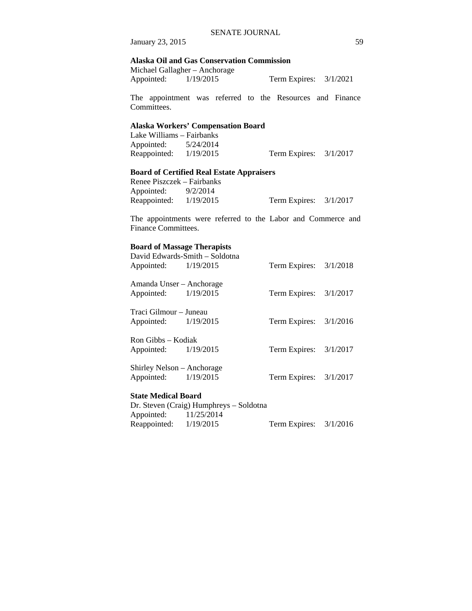January 23, 2015 59

## **Alaska Oil and Gas Conservation Commission**

|            | Michael Gallagher - Anchorage |                          |  |
|------------|-------------------------------|--------------------------|--|
| Appointed: | 1/19/2015                     | Term Expires: $3/1/2021$ |  |

The appointment was referred to the Resources and Finance Committees.

## **Alaska Workers' Compensation Board**

Lake Williams – Fairbanks Appointed: 5/24/2014 Reappointed: 1/19/2015 Term Expires: 3/1/2017

## **Board of Certified Real Estate Appraisers**

| Renee Piszczek – Fairbanks |          |                          |  |
|----------------------------|----------|--------------------------|--|
| Appointed:                 | 9/2/2014 |                          |  |
| Reappointed: $1/19/2015$   |          | Term Expires: $3/1/2017$ |  |

The appointments were referred to the Labor and Commerce and Finance Committees.

## **Board of Massage Therapists**

| Appointed: 1/19/2015                               | David Edwards-Smith - Soldotna | Term Expires: $3/1/2018$ |  |
|----------------------------------------------------|--------------------------------|--------------------------|--|
| Amanda Unser – Anchorage<br>Appointed: 1/19/2015   |                                | Term Expires: $3/1/2017$ |  |
| Traci Gilmour – Juneau<br>Appointed: 1/19/2015     |                                | Term Expires: $3/1/2016$ |  |
| Ron Gibbs – Kodiak<br>Appointed: 1/19/2015         |                                | Term Expires: $3/1/2017$ |  |
| Shirley Nelson – Anchorage<br>Appointed: 1/19/2015 |                                | Term Expires: $3/1/2017$ |  |
|                                                    |                                |                          |  |

# **State Medical Board**

|                          | Dr. Steven (Craig) Humphreys – Soldotna |                          |  |
|--------------------------|-----------------------------------------|--------------------------|--|
| Appointed: 11/25/2014    |                                         |                          |  |
| Reappointed: $1/19/2015$ |                                         | Term Expires: $3/1/2016$ |  |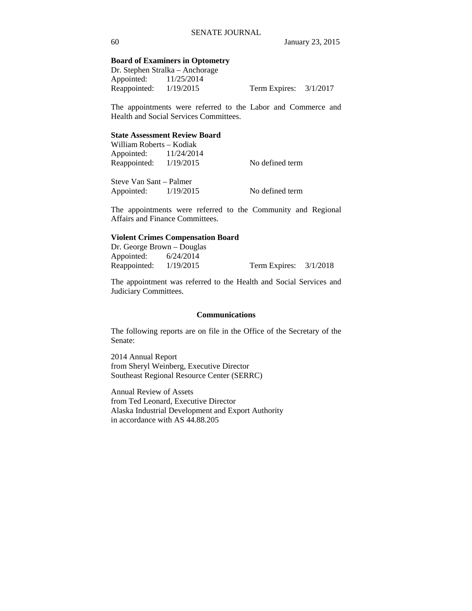## **Board of Examiners in Optometry**

Dr. Stephen Stralka – Anchorage Appointed: 11/25/2014 Reappointed: 1/19/2015 Term Expires: 3/1/2017

The appointments were referred to the Labor and Commerce and Health and Social Services Committees.

#### **State Assessment Review Board**

William Roberts – Kodiak Appointed: 11/24/2014 Reappointed:  $1/19/2015$  No defined term

Steve Van Sant – Palmer Appointed:  $1/19/2015$  No defined term

The appointments were referred to the Community and Regional Affairs and Finance Committees.

## **Violent Crimes Compensation Board**

Dr. George Brown – Douglas Appointed: 6/24/2014 Reappointed: 1/19/2015 Term Expires: 3/1/2018

The appointment was referred to the Health and Social Services and Judiciary Committees.

## **Communications**

The following reports are on file in the Office of the Secretary of the Senate:

2014 Annual Report from Sheryl Weinberg, Executive Director Southeast Regional Resource Center (SERRC)

Annual Review of Assets from Ted Leonard, Executive Director Alaska Industrial Development and Export Authority in accordance with AS 44.88.205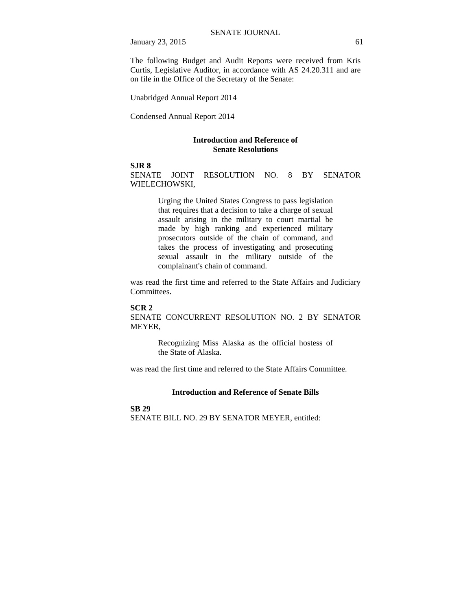January 23, 2015 61

The following Budget and Audit Reports were received from Kris Curtis, Legislative Auditor, in accordance with AS 24.20.311 and are on file in the Office of the Secretary of the Senate:

Unabridged Annual Report 2014

Condensed Annual Report 2014

#### **Introduction and Reference of Senate Resolutions**

## **SJR 8**

SENATE JOINT RESOLUTION NO. 8 BY SENATOR WIELECHOWSKI,

> Urging the United States Congress to pass legislation that requires that a decision to take a charge of sexual assault arising in the military to court martial be made by high ranking and experienced military prosecutors outside of the chain of command, and takes the process of investigating and prosecuting sexual assault in the military outside of the complainant's chain of command.

was read the first time and referred to the State Affairs and Judiciary Committees.

#### **SCR 2**

SENATE CONCURRENT RESOLUTION NO. 2 BY SENATOR MEYER,

> Recognizing Miss Alaska as the official hostess of the State of Alaska.

was read the first time and referred to the State Affairs Committee.

## **Introduction and Reference of Senate Bills**

## **SB 29**

SENATE BILL NO. 29 BY SENATOR MEYER, entitled: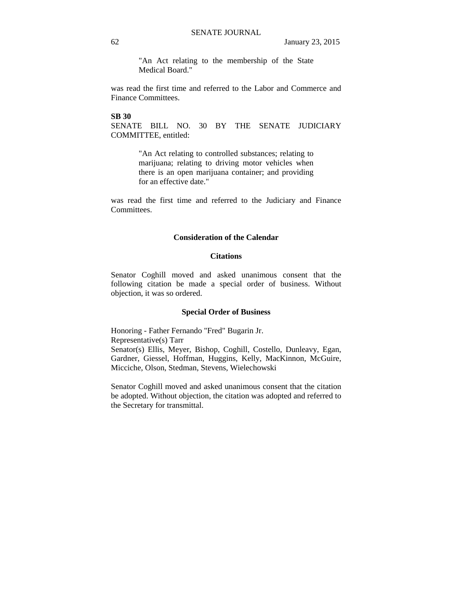"An Act relating to the membership of the State Medical Board."

was read the first time and referred to the Labor and Commerce and Finance Committees.

#### **SB 30**

SENATE BILL NO. 30 BY THE SENATE JUDICIARY COMMITTEE, entitled:

> "An Act relating to controlled substances; relating to marijuana; relating to driving motor vehicles when there is an open marijuana container; and providing for an effective date."

was read the first time and referred to the Judiciary and Finance Committees.

## **Consideration of the Calendar**

#### **Citations**

Senator Coghill moved and asked unanimous consent that the following citation be made a special order of business. Without objection, it was so ordered.

#### **Special Order of Business**

Honoring - Father Fernando "Fred" Bugarin Jr. Representative(s) Tarr Senator(s) Ellis, Meyer, Bishop, Coghill, Costello, Dunleavy, Egan, Gardner, Giessel, Hoffman, Huggins, Kelly, MacKinnon, McGuire, Micciche, Olson, Stedman, Stevens, Wielechowski

Senator Coghill moved and asked unanimous consent that the citation be adopted. Without objection, the citation was adopted and referred to the Secretary for transmittal.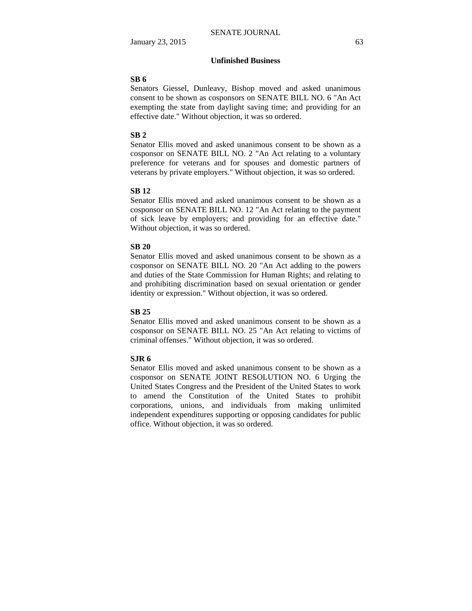## **Unfinished Business**

#### **SB 6**

Senators Giessel, Dunleavy, Bishop moved and asked unanimous consent to be shown as cosponsors on SENATE BILL NO. 6 "An Act exempting the state from daylight saving time; and providing for an effective date." Without objection, it was so ordered.

#### **SB 2**

Senator Ellis moved and asked unanimous consent to be shown as a cosponsor on SENATE BILL NO. 2 "An Act relating to a voluntary preference for veterans and for spouses and domestic partners of veterans by private employers." Without objection, it was so ordered.

#### **SB 12**

Senator Ellis moved and asked unanimous consent to be shown as a cosponsor on SENATE BILL NO. 12 "An Act relating to the payment of sick leave by employers; and providing for an effective date." Without objection, it was so ordered.

### **SB 20**

Senator Ellis moved and asked unanimous consent to be shown as a cosponsor on SENATE BILL NO. 20 "An Act adding to the powers and duties of the State Commission for Human Rights; and relating to and prohibiting discrimination based on sexual orientation or gender identity or expression." Without objection, it was so ordered.

#### **SB 25**

Senator Ellis moved and asked unanimous consent to be shown as a cosponsor on SENATE BILL NO. 25 "An Act relating to victims of criminal offenses." Without objection, it was so ordered.

#### **SJR 6**

Senator Ellis moved and asked unanimous consent to be shown as a cosponsor on SENATE JOINT RESOLUTION NO. 6 Urging the United States Congress and the President of the United States to work to amend the Constitution of the United States to prohibit corporations, unions, and individuals from making unlimited independent expenditures supporting or opposing candidates for public office. Without objection, it was so ordered.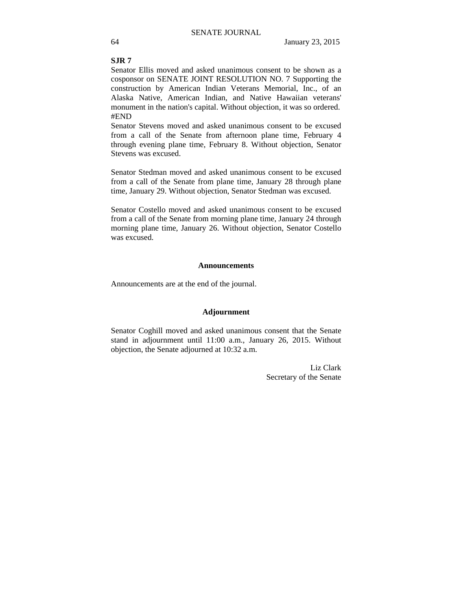## **SJR 7**

Senator Ellis moved and asked unanimous consent to be shown as a cosponsor on SENATE JOINT RESOLUTION NO. 7 Supporting the construction by American Indian Veterans Memorial, Inc., of an Alaska Native, American Indian, and Native Hawaiian veterans' monument in the nation's capital. Without objection, it was so ordered. #END

Senator Stevens moved and asked unanimous consent to be excused from a call of the Senate from afternoon plane time, February 4 through evening plane time, February 8. Without objection, Senator Stevens was excused.

Senator Stedman moved and asked unanimous consent to be excused from a call of the Senate from plane time, January 28 through plane time, January 29. Without objection, Senator Stedman was excused.

Senator Costello moved and asked unanimous consent to be excused from a call of the Senate from morning plane time, January 24 through morning plane time, January 26. Without objection, Senator Costello was excused.

#### **Announcements**

Announcements are at the end of the journal.

#### **Adjournment**

Senator Coghill moved and asked unanimous consent that the Senate stand in adjournment until 11:00 a.m., January 26, 2015. Without objection, the Senate adjourned at 10:32 a.m.

> Liz Clark Secretary of the Senate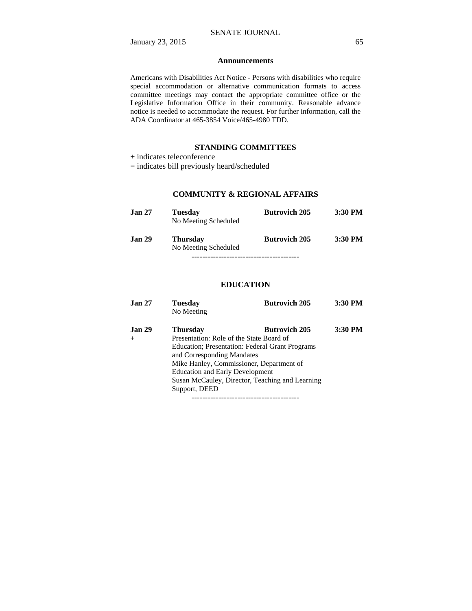#### **Announcements**

Americans with Disabilities Act Notice - Persons with disabilities who require special accommodation or alternative communication formats to access committee meetings may contact the appropriate committee office or the Legislative Information Office in their community. Reasonable advance notice is needed to accommodate the request. For further information, call the ADA Coordinator at 465-3854 Voice/465-4980 TDD.

## **STANDING COMMITTEES**

+ indicates teleconference

= indicates bill previously heard/scheduled

## **COMMUNITY & REGIONAL AFFAIRS**

| <b>Jan 27</b> | <b>Tuesday</b><br>No Meeting Scheduled  | <b>Butrovich 205</b> | 3:30 PM   |
|---------------|-----------------------------------------|----------------------|-----------|
| <b>Jan 29</b> | <b>Thursday</b><br>No Meeting Scheduled | <b>Butrovich 205</b> | $3:30$ PM |
|               |                                         |                      |           |

## **EDUCATION**

| Jan <sub>27</sub> | <b>Tuesday</b><br>No Meeting                    | <b>Butrovich 205</b> | 3:30 PM |
|-------------------|-------------------------------------------------|----------------------|---------|
| Jan <sub>29</sub> | <b>Thursday</b>                                 | <b>Butrovich 205</b> | 3:30 PM |
| $^{+}$            | Presentation: Role of the State Board of        |                      |         |
|                   | Education; Presentation: Federal Grant Programs |                      |         |
|                   | and Corresponding Mandates                      |                      |         |
|                   | Mike Hanley, Commissioner, Department of        |                      |         |
|                   | <b>Education and Early Development</b>          |                      |         |
|                   | Susan McCauley, Director, Teaching and Learning |                      |         |
|                   | Support, DEED                                   |                      |         |
|                   |                                                 |                      |         |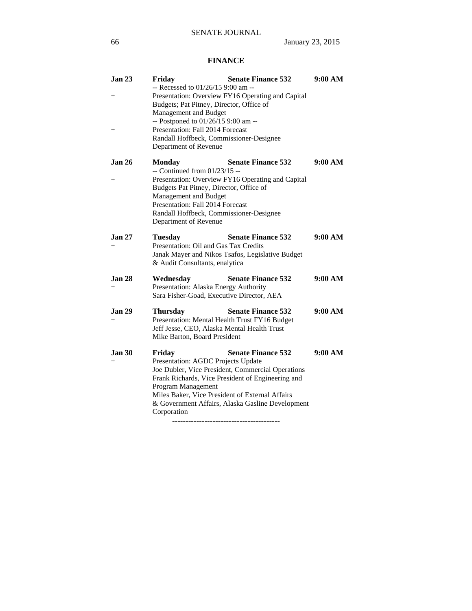# **FINANCE**

| <b>Jan 23</b>                | <b>Senate Finance 532</b><br>Friday                                                                                                                                                                                                                                                                                             | 9:00 AM |
|------------------------------|---------------------------------------------------------------------------------------------------------------------------------------------------------------------------------------------------------------------------------------------------------------------------------------------------------------------------------|---------|
| $^{+}$<br>$\hspace{0.1mm} +$ | -- Recessed to 01/26/15 9:00 am --<br>Presentation: Overview FY16 Operating and Capital<br>Budgets; Pat Pitney, Director, Office of<br>Management and Budget<br>-- Postponed to 01/26/15 9:00 am --<br>Presentation: Fall 2014 Forecast                                                                                         |         |
|                              | Randall Hoffbeck, Commissioner-Designee<br>Department of Revenue                                                                                                                                                                                                                                                                |         |
| <b>Jan 26</b><br>$^{+}$      | <b>Senate Finance 532</b><br><b>Monday</b><br>-- Continued from 01/23/15 --<br>Presentation: Overview FY16 Operating and Capital<br>Budgets Pat Pitney, Director, Office of<br>Management and Budget<br>Presentation: Fall 2014 Forecast<br>Randall Hoffbeck, Commissioner-Designee<br>Department of Revenue                    | 9:00 AM |
| <b>Jan 27</b><br>$+$         | <b>Senate Finance 532</b><br><b>Tuesday</b><br>Presentation: Oil and Gas Tax Credits<br>Janak Mayer and Nikos Tsafos, Legislative Budget<br>& Audit Consultants, enalytica                                                                                                                                                      | 9:00 AM |
| <b>Jan 28</b><br>$+$         | Wednesday<br><b>Senate Finance 532</b><br>Presentation: Alaska Energy Authority<br>Sara Fisher-Goad, Executive Director, AEA                                                                                                                                                                                                    | 9:00 AM |
| <b>Jan 29</b><br>$^{+}$      | <b>Senate Finance 532</b><br>Thursday<br>Presentation: Mental Health Trust FY16 Budget<br>Jeff Jesse, CEO, Alaska Mental Health Trust<br>Mike Barton, Board President                                                                                                                                                           | 9:00 AM |
| <b>Jan 30</b><br>$+$         | <b>Senate Finance 532</b><br>Friday<br>Presentation: AGDC Projects Update<br>Joe Dubler, Vice President, Commercial Operations<br>Frank Richards, Vice President of Engineering and<br>Program Management<br>Miles Baker, Vice President of External Affairs<br>& Government Affairs, Alaska Gasline Development<br>Corporation | 9:00 AM |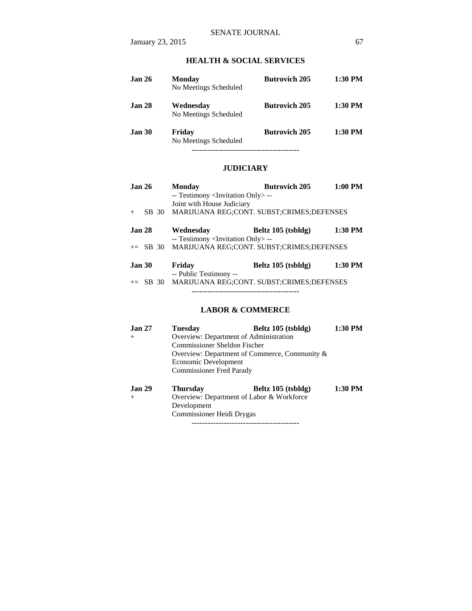# **HEALTH & SOCIAL SERVICES**

| <b>Jan 26</b>     | <b>Monday</b><br>No Meetings Scheduled | <b>Butrovich 205</b> | $1:30$ PM |
|-------------------|----------------------------------------|----------------------|-----------|
| Jan <sub>28</sub> | Wednesday<br>No Meetings Scheduled     | <b>Butrovich 205</b> | $1:30$ PM |
| Jan 30            | Friday<br>No Meetings Scheduled        | <b>Butrovich 205</b> | $1:30$ PM |
|                   |                                        |                      |           |

## **JUDICIARY**

| Jan <sub>26</sub> | <b>Monday</b>                                      | <b>Butrovich 205</b> | $1:00$ PM |
|-------------------|----------------------------------------------------|----------------------|-----------|
|                   | -- Testimony <invitation only=""> --</invitation>  |                      |           |
|                   | Joint with House Judiciary                         |                      |           |
| SB 30<br>$+$      | MARIJUANA REG;CONT. SUBST;CRIMES;DEFENSES          |                      |           |
|                   |                                                    |                      |           |
| <b>Jan 28</b>     | Wednesday                                          | Beltz 105 (tsbldg)   | $1:30$ PM |
|                   | -- Testimony <invitation only=""> --</invitation>  |                      |           |
|                   | += SB 30 MARIJUANA REG;CONT. SUBST;CRIMES;DEFENSES |                      |           |
|                   |                                                    |                      |           |
| <b>Jan 30</b>     | Friday                                             | Beltz 105 (tsbldg)   | 1:30 PM   |
|                   | -- Public Testimony --                             |                      |           |
|                   | += SB 30 MARIJUANA REG;CONT. SUBST;CRIMES;DEFENSES |                      |           |
|                   |                                                    |                      |           |

## **LABOR & COMMERCE**

| <b>Jan 27</b> | <b>Tuesday</b>                            | Beltz 105 (tsbldg)                            | 1:30 PM |
|---------------|-------------------------------------------|-----------------------------------------------|---------|
| $+$           | Overview: Department of Administration    |                                               |         |
|               | Commissioner Sheldon Fischer              |                                               |         |
|               |                                           | Overview: Department of Commerce, Community & |         |
|               | Economic Development                      |                                               |         |
|               | <b>Commissioner Fred Parady</b>           |                                               |         |
| <b>Jan 29</b> | <b>Thursday</b>                           | Beltz 105 (tsbldg)                            | 1:30 PM |
| $+$           | Overview: Department of Labor & Workforce |                                               |         |
|               | Development                               |                                               |         |
|               | Commissioner Heidi Drygas                 |                                               |         |

----------------------------------------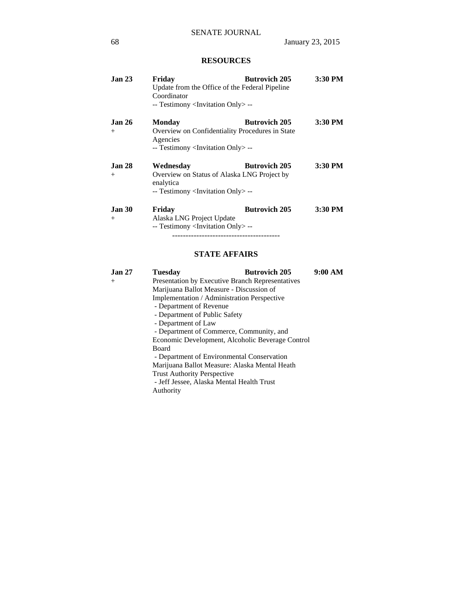# **RESOURCES**

| Jan <sub>23</sub>        | Friday<br>Coordinator<br>-- Testimony <invitation only=""> --</invitation>               | <b>Butrovich 205</b><br>Update from the Office of the Federal Pipeline  | 3:30 PM |
|--------------------------|------------------------------------------------------------------------------------------|-------------------------------------------------------------------------|---------|
| Jan <sub>26</sub><br>$+$ | Monday<br>Agencies<br>-- Testimony <invitation only=""> --</invitation>                  | <b>Butrovich 205</b><br>Overview on Confidentiality Procedures in State | 3:30 PM |
| Jan <sub>28</sub><br>$+$ | Wednesdav<br>enalytica<br>-- Testimony <invitation only=""> --</invitation>              | <b>Butrovich 205</b><br>Overview on Status of Alaska LNG Project by     | 3:30 PM |
| <b>Jan 30</b><br>$+$     | Friday<br>Alaska LNG Project Update<br>-- Testimony <invitation only=""> --</invitation> | <b>Butrovich 205</b>                                                    | 3:30 PM |

# **STATE AFFAIRS**

| <b>Jan 27</b> | Tuesdav                                                 | <b>Butrovich 205</b> | 9:00 AM |
|---------------|---------------------------------------------------------|----------------------|---------|
| $^{+}$        | <b>Presentation by Executive Branch Representatives</b> |                      |         |
|               | Marijuana Ballot Measure - Discussion of                |                      |         |
|               | Implementation / Administration Perspective             |                      |         |
|               | - Department of Revenue                                 |                      |         |
|               | - Department of Public Safety                           |                      |         |
|               | - Department of Law                                     |                      |         |
|               | - Department of Commerce, Community, and                |                      |         |
|               | Economic Development, Alcoholic Beverage Control        |                      |         |
|               | <b>Board</b>                                            |                      |         |
|               | - Department of Environmental Conservation              |                      |         |
|               | Marijuana Ballot Measure: Alaska Mental Heath           |                      |         |
|               | <b>Trust Authority Perspective</b>                      |                      |         |
|               | - Jeff Jessee, Alaska Mental Health Trust               |                      |         |
|               | Authority                                               |                      |         |
|               |                                                         |                      |         |